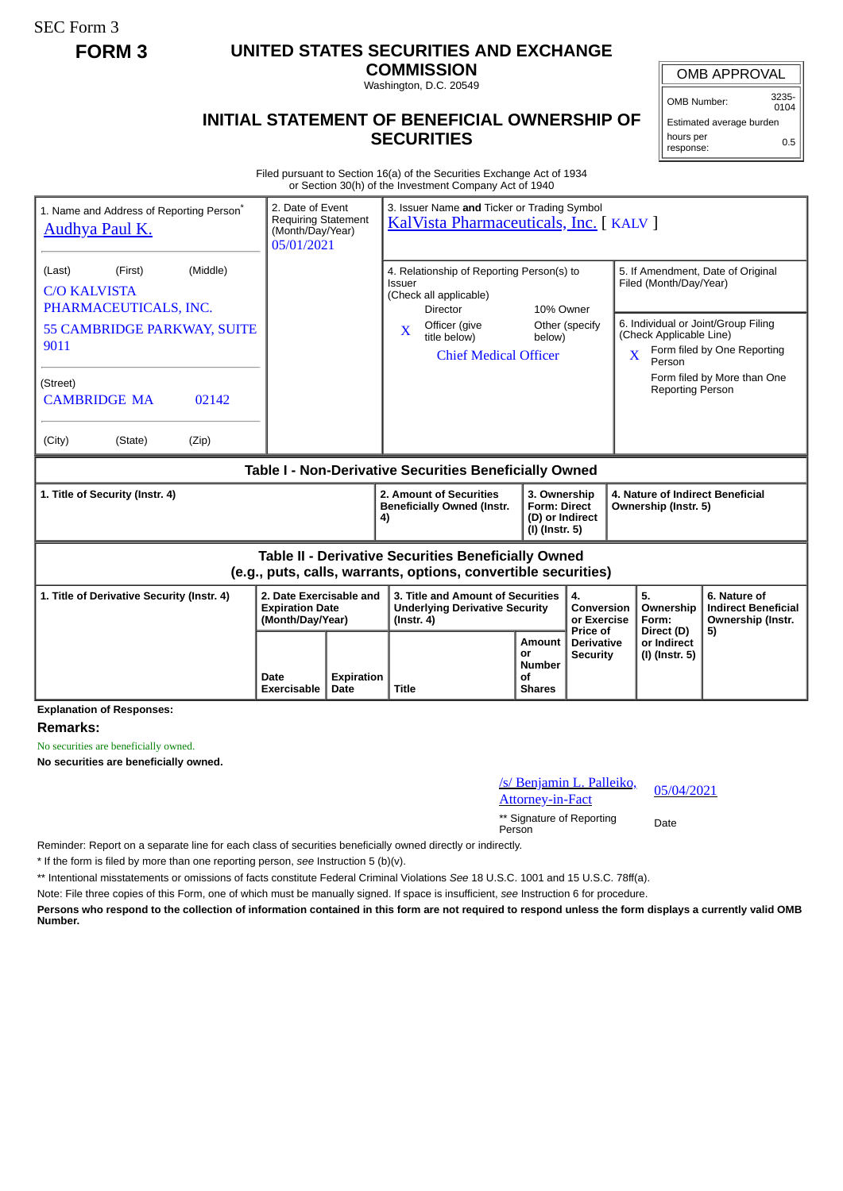SEC Form 3

## **FORM 3 UNITED STATES SECURITIES AND EXCHANGE**

**COMMISSION** Washington, D.C. 20549

## **INITIAL STATEMENT OF BENEFICIAL OWNERSHIP OF SECURITIES**

OMB APPROVAL

OMB Number: 3235-  $0104$ 

Estimated average burden hours per response: 0.5

Filed pursuant to Section 16(a) of the Securities Exchange Act of 1934 or Section 30(h) of the Investment Company Act of 1940

| 2. Date of Event<br>1. Name and Address of Reporting Person <sup>®</sup><br><b>Requiring Statement</b><br><b>Audhya Paul K.</b><br>(Month/Day/Year)<br>05/01/2021 |                                                                       |                           | 3. Issuer Name and Ticker or Trading Symbol<br>KalVista Pharmaceuticals, Inc. [ KALV ]                        |  |                                                                          |                                        |                                                                                                              |                             |  |
|-------------------------------------------------------------------------------------------------------------------------------------------------------------------|-----------------------------------------------------------------------|---------------------------|---------------------------------------------------------------------------------------------------------------|--|--------------------------------------------------------------------------|----------------------------------------|--------------------------------------------------------------------------------------------------------------|-----------------------------|--|
| (Middle)<br>(First)<br>(Last)<br><b>C/O KALVISTA</b><br>PHARMACEUTICALS, INC.                                                                                     |                                                                       |                           | 4. Relationship of Reporting Person(s) to<br><b>Issuer</b><br>(Check all applicable)<br>10% Owner<br>Director |  |                                                                          |                                        | 5. If Amendment, Date of Original<br>Filed (Month/Day/Year)                                                  |                             |  |
| 55 CAMBRIDGE PARKWAY, SUITE<br>9011                                                                                                                               |                                                                       |                           | Officer (give<br>$\mathbf{x}$<br>title below)<br><b>Chief Medical Officer</b>                                 |  | below)                                                                   | Other (specify                         | 6. Individual or Joint/Group Filing<br>(Check Applicable Line)<br>Form filed by One Reporting<br>X<br>Person |                             |  |
| (Street)<br><b>CAMBRIDGE MA</b><br>02142                                                                                                                          |                                                                       |                           |                                                                                                               |  |                                                                          |                                        | <b>Reporting Person</b>                                                                                      | Form filed by More than One |  |
| (City)<br>(Zip)<br>(State)                                                                                                                                        |                                                                       |                           |                                                                                                               |  |                                                                          |                                        |                                                                                                              |                             |  |
| Table I - Non-Derivative Securities Beneficially Owned                                                                                                            |                                                                       |                           |                                                                                                               |  |                                                                          |                                        |                                                                                                              |                             |  |
| 1. Title of Security (Instr. 4)                                                                                                                                   |                                                                       |                           | 2. Amount of Securities<br><b>Beneficially Owned (Instr.</b><br>4)                                            |  | 3. Ownership<br><b>Form: Direct</b><br>(D) or Indirect<br>(I) (Instr. 5) |                                        | 4. Nature of Indirect Beneficial<br>Ownership (Instr. 5)                                                     |                             |  |
| <b>Table II - Derivative Securities Beneficially Owned</b><br>(e.g., puts, calls, warrants, options, convertible securities)                                      |                                                                       |                           |                                                                                                               |  |                                                                          |                                        |                                                                                                              |                             |  |
| 1. Title of Derivative Security (Instr. 4)                                                                                                                        | 2. Date Exercisable and<br><b>Expiration Date</b><br>(Month/Day/Year) |                           | 3. Title and Amount of Securities<br><b>Underlying Derivative Security</b><br>$($ lnstr. 4 $)$                |  | 4.<br>Conversion<br>or Exercise<br>Price of                              | 5.<br>Ownership<br>Form:<br>Direct (D) | 6. Nature of<br><b>Indirect Beneficial</b><br>Ownership (Instr.<br>5)                                        |                             |  |
|                                                                                                                                                                   | Date<br>Exercisable                                                   | <b>Expiration</b><br>Date | <b>Title</b>                                                                                                  |  | Amount<br>0r<br><b>Number</b><br>οf<br><b>Shares</b>                     | <b>Derivative</b><br><b>Security</b>   | or Indirect<br>(I) (Instr. 5)                                                                                |                             |  |

**Explanation of Responses:**

**Remarks:**

No securities are beneficially owned.

**No securities are beneficially owned.**

| /s/ Benjamin L. Palleiko, | 05/04/2021 |  |  |
|---------------------------|------------|--|--|
| Attorney-in-Fact          |            |  |  |

\*\* Signature of Reporting Person Date

Reminder: Report on a separate line for each class of securities beneficially owned directly or indirectly.

\* If the form is filed by more than one reporting person, *see* Instruction 5 (b)(v).

\*\* Intentional misstatements or omissions of facts constitute Federal Criminal Violations *See* 18 U.S.C. 1001 and 15 U.S.C. 78ff(a).

Note: File three copies of this Form, one of which must be manually signed. If space is insufficient, *see* Instruction 6 for procedure.

**Persons who respond to the collection of information contained in this form are not required to respond unless the form displays a currently valid OMB Number.**